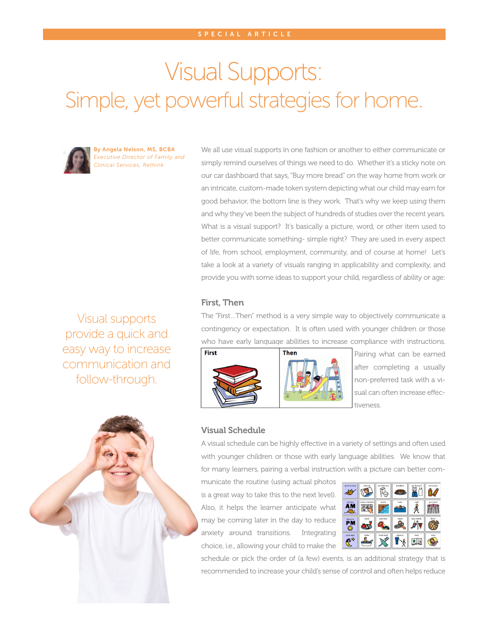# Visual Supports: Simple, yet powerful strategies for home.



By Angela Nelson, MS, BCBA *Executive Director of Family and Clinical Services, Rethink*

We all use visual supports in one fashion or another to either communicate or simply remind ourselves of things we need to do. Whether it's a sticky note on our car dashboard that says, "Buy more bread" on the way home from work or an intricate, custom-made token system depicting what our child may earn for good behavior, the bottom line is they work. That's why we keep using them and why they've been the subject of hundreds of studies over the recent years. What is a visual support? It's basically a picture, word, or other item used to better communicate something- simple right? They are used in every aspect of life, from school, employment, community, and of course at home! Let's take a look at a variety of visuals ranging in applicability and complexity, and provide you with some ideas to support your child, regardless of ability or age:

## First, Then

The "First…Then" method is a very simple way to objectively communicate a contingency or expectation. It is often used with younger children or those who have early language abilities to increase compliance with instructions.





Pairing what can be earned after completing a usually non-preferred task with a visual can often increase effectiveness.



Visual supports provide a quick and easy way to increase communication and follow-through.

## Visual Schedule

A visual schedule can be highly effective in a variety of settings and often used with younger children or those with early language abilities. We know that for many learners, pairing a verbal instruction with a picture can better com-

municate the routine (using actual photos is a great way to take this to the next level). Also, it helps the learner anticipate what may be coming later in the day to reduce anxiety around transitions. Integrating choice, i.e., allowing your child to make the



schedule or pick the order of (a few) events, is an additional strategy that is recommended to increase your child's sense of control and often helps reduce